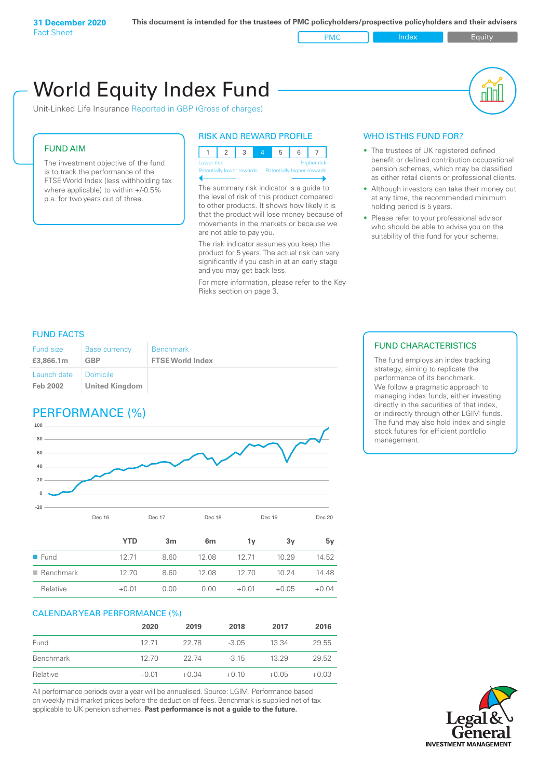PMC Index PMC Equity

# World Equity Index Fund

Unit-Linked Life Insurance Reported in GBP (Gross of charges)

#### FUND AIM

The investment objective of the fund is to track the performance of the FTSE World Index (less withholding tax where applicable) to within +/-0.5% p.a. for two years out of three.

#### RISK AND REWARD PROFILE



Potentially lower rewards Potentially higher rewards

The summary risk indicator is a guide to the level of risk of this product compared to other products. It shows how likely it is that the product will lose money because of movements in the markets or because we are not able to pay you.

The risk indicator assumes you keep the product for 5 years. The actual risk can vary significantly if you cash in at an early stage and you may get back less.

For more information, please refer to the Key Risks section on page 3.

#### WHO IS THIS FUND FOR?

- The trustees of UK registered defined benefit or defined contribution occupational pension schemes, which may be classified as either retail clients or professional clients.
- Although investors can take their money out at any time, the recommended minimum holding period is 5 years.
- Please refer to your professional advisor who should be able to advise you on the suitability of this fund for your scheme.

#### FUND FACTS

| Fund size               | <b>Base currency</b>                | <b>Benchmark</b>        |
|-------------------------|-------------------------------------|-------------------------|
| £3,866.1m               | <b>GBP</b>                          | <b>FTSE World Index</b> |
| Launch date<br>Feb 2002 | I Domicile<br><b>United Kingdom</b> |                         |

## PERFORMANCE (%)



|                          | <b>YTD</b> | 3m   | 6m    | 1۷      | 3v      | 5v      |
|--------------------------|------------|------|-------|---------|---------|---------|
| $\blacksquare$ Fund      | 12 71      | 8.60 | 12.08 | 12 71   | 10.29   | 14.52   |
| $\blacksquare$ Benchmark | 12.70      | 8.60 | 12.08 | 12 70   | 10.24   | 14.48   |
| Relative                 | $+0.01$    | 0.00 | 0.00  | $+0.01$ | $+0.05$ | $+0.04$ |

#### CALENDAR YEAR PERFORMANCE (%)

|           | 2020    | 2019    | 2018    | 2017    | 2016    |
|-----------|---------|---------|---------|---------|---------|
| Fund      | 12 71   | 22.78   | $-3.05$ | 13.34   | 29.55   |
| Benchmark | 12,70   | 22 74   | $-315$  | 13 29   | 29.52   |
| Relative  | $+0.01$ | $+0.04$ | $+0.10$ | $+0.05$ | $+0.03$ |

All performance periods over a year will be annualised. Source: LGIM. Performance based on weekly mid-market prices before the deduction of fees. Benchmark is supplied net of tax applicable to UK pension schemes. **Past performance is not a guide to the future.**

#### FUND CHARACTERISTICS

The fund employs an index tracking strategy, aiming to replicate the performance of its benchmark. We follow a pragmatic approach to managing index funds, either investing directly in the securities of that index, or indirectly through other LGIM funds. The fund may also hold index and single stock futures for efficient portfolio management.

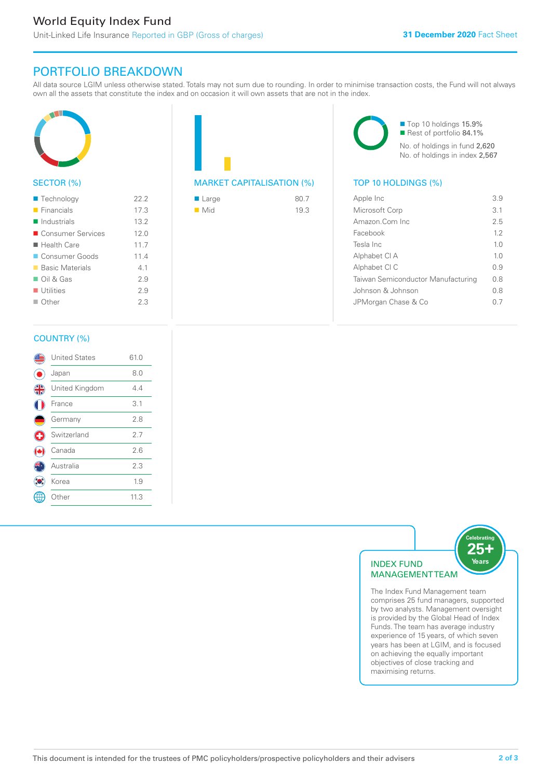# PORTFOLIO BREAKDOWN

All data source LGIM unless otherwise stated. Totals may not sum due to rounding. In order to minimise transaction costs, the Fund will not always own all the assets that constitute the index and on occasion it will own assets that are not in the index.



#### SECTOR (%)

| $\blacksquare$ Technology  | 22.2 |
|----------------------------|------|
| $\blacksquare$ Financials  | 17.3 |
| $\blacksquare$ Industrials | 13.2 |
| ■ Consumer Services        | 12.0 |
| $\blacksquare$ Health Care | 11.7 |
| Consumer Goods             | 11.4 |
| ■ Basic Materials          | 41   |
| $\Box$ Oil & Gas           | 29   |
| $\blacksquare$ Utilities   | 29   |
| $\Box$ Other               | 23   |
|                            |      |



| ■ Large            | 80.7 |
|--------------------|------|
| $\blacksquare$ Mid | 19.3 |

■ Top 10 holdings 15.9% Rest of portfolio 84.1% No. of holdings in fund 2,620 No. of holdings in index 2,567

| Apple Inc                          | 39             |
|------------------------------------|----------------|
| Microsoft Corp                     | 3.1            |
| Amazon Com Inc                     | 25             |
| Facebook                           | 12             |
| Tesla Inc                          | 10             |
| Alphabet CI A                      | 1 <sub>0</sub> |
| Alphabet CI C                      | 09             |
| Taiwan Semiconductor Manufacturing | 0 S            |
| Johnson & Johnson                  | 08             |
| JPMorgan Chase & Co                | () /           |
|                                    |                |

#### COUNTRY (%)

|   | <b>United States</b> | 61.0 |  |
|---|----------------------|------|--|
|   | Japan                | 8.0  |  |
| 4 | United Kingdom       | 4.4  |  |
|   | France               | 3.1  |  |
|   | Germany              | 2.8  |  |
| ÷ | Switzerland          | 2.7  |  |
|   | Canada               | 2.6  |  |
|   | Australia            | 2.3  |  |
|   | Korea                | 1.9  |  |
|   | Other                | 11.3 |  |
|   |                      |      |  |



comprises 25 fund managers, supported by two analysts. Management oversight is provided by the Global Head of Index Funds. The team has average industry experience of 15 years, of which seven years has been at LGIM, and is focused on achieving the equally important objectives of close tracking and maximising returns.